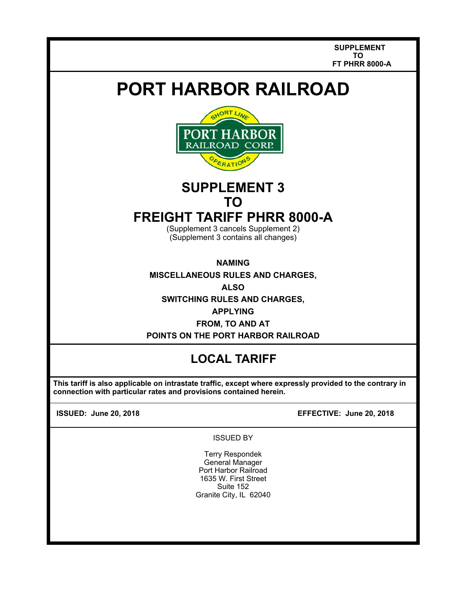**SUPPLEMENT TO FT PHRR 8000-A** 

# **PORT HARBOR RAILROAD**



# **SUPPLEMENT 3 TO**

## **FREIGHT TARIFF PHRR 8000-A**

(Supplement 3 cancels Supplement 2) (Supplement 3 contains all changes)

**NAMING** 

**MISCELLANEOUS RULES AND CHARGES,** 

**ALSO** 

**SWITCHING RULES AND CHARGES,** 

**APPLYING**

**FROM, TO AND AT POINTS ON THE PORT HARBOR RAILROAD** 

### **LOCAL TARIFF**

 **This tariff is also applicable on intrastate traffic, except where expressly provided to the contrary in connection with particular rates and provisions contained herein.** 

 $\overline{\phantom{a}}$  $\overline{\phantom{a}}$ 

**ISSUED: June 20, 2018 EFFECTIVE: June 20, 2018**

ISSUED BY

Terry Respondek General Manager Port Harbor Railroad 1635 W. First Street Suite 152 Granite City, IL 62040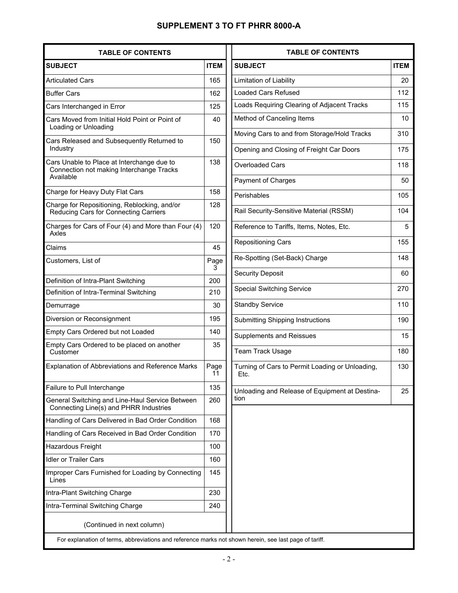### **SUPPLEMENT 3 TO FT PHRR 8000-A**

| <b>SUBJECT</b><br><b>Articulated Cars</b><br><b>Buffer Cars</b>                                     | <b>ITEM</b> |
|-----------------------------------------------------------------------------------------------------|-------------|
|                                                                                                     |             |
|                                                                                                     | 165         |
|                                                                                                     | 162         |
| Cars Interchanged in Error                                                                          | 125         |
| Cars Moved from Initial Hold Point or Point of<br>Loading or Unloading                              | 40          |
| Cars Released and Subsequently Returned to<br>Industry                                              | 150         |
| Cars Unable to Place at Interchange due to<br>Connection not making Interchange Tracks<br>Available | 138         |
| Charge for Heavy Duty Flat Cars                                                                     | 158         |
| Charge for Repositioning, Reblocking, and/or<br>Reducing Cars for Connecting Carriers               | 128         |
| Charges for Cars of Four (4) and More than Four (4)<br>Axles                                        | 120         |
| Claims                                                                                              | 45          |
| Customers, List of                                                                                  | Page<br>3   |
| Definition of Intra-Plant Switching                                                                 | 200         |
| Definition of Intra-Terminal Switching                                                              | 210         |
| Demurrage                                                                                           | 30          |
| Diversion or Reconsignment                                                                          | 195         |
| Empty Cars Ordered but not Loaded                                                                   | 140         |
| Empty Cars Ordered to be placed on another<br>Customer                                              | 35          |
| Explanation of Abbreviations and Reference Marks                                                    | Page<br>11  |
| Failure to Pull Interchange                                                                         | 135         |
| General Switching and Line-Haul Service Between<br>Connecting Line(s) and PHRR Industries           | 260         |
| Handling of Cars Delivered in Bad Order Condition                                                   | 168         |
| Handling of Cars Received in Bad Order Condition                                                    | 170         |
| Hazardous Freight                                                                                   | 100         |
| <b>Idler or Trailer Cars</b>                                                                        | 160         |
| Improper Cars Furnished for Loading by Connecting<br>Lines                                          | 145         |
| Intra-Plant Switching Charge                                                                        | 230         |
| Intra-Terminal Switching Charge                                                                     | 240         |
| (Continued in next column)                                                                          |             |

| <b>TABLE OF CONTENTS</b>                                |             |
|---------------------------------------------------------|-------------|
| <b>SUBJECT</b>                                          | <b>ITEM</b> |
| Limitation of Liability                                 | 20          |
| <b>Loaded Cars Refused</b>                              | 112         |
| Loads Requiring Clearing of Adjacent Tracks             | 115         |
| Method of Canceling Items                               | 10          |
| Moving Cars to and from Storage/Hold Tracks             | 310         |
| Opening and Closing of Freight Car Doors                | 175         |
| <b>Overloaded Cars</b>                                  | 118         |
| Payment of Charges                                      | 50          |
| Perishables                                             | 105         |
| Rail Security-Sensitive Material (RSSM)                 | 104         |
| Reference to Tariffs, Items, Notes, Etc.                | 5           |
| <b>Repositioning Cars</b>                               | 155         |
| Re-Spotting (Set-Back) Charge                           | 148         |
| <b>Security Deposit</b>                                 | 60          |
| <b>Special Switching Service</b>                        | 270         |
| <b>Standby Service</b>                                  | 110         |
| <b>Submitting Shipping Instructions</b>                 | 190         |
| <b>Supplements and Reissues</b>                         | 15          |
| Team Track Usage                                        | 180         |
| Turning of Cars to Permit Loading or Unloading,<br>Etc. | 130         |
| Unloading and Release of Equipment at Destina-<br>tion  | 25          |
|                                                         |             |

For explanation of terms, abbreviations and reference marks not shown herein, see last page of tariff.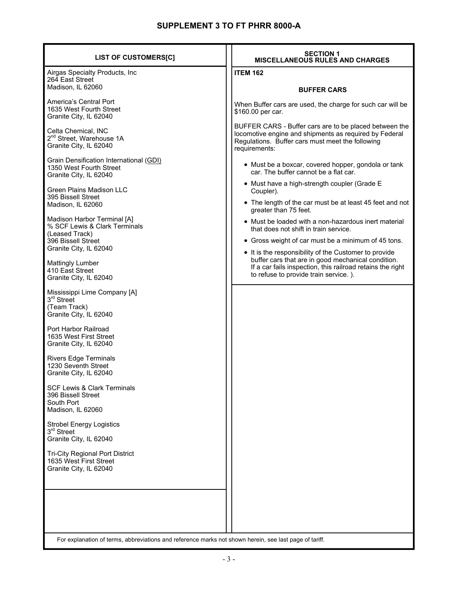| <b>LIST OF CUSTOMERS[C]</b>                                                                                                                                                                                                                       | <b>SECTION 1</b><br><b>MISCELLANEOUS RULES AND CHARGES</b>                                                                                                                            |
|---------------------------------------------------------------------------------------------------------------------------------------------------------------------------------------------------------------------------------------------------|---------------------------------------------------------------------------------------------------------------------------------------------------------------------------------------|
| Airgas Specialty Products, Inc<br>264 East Street                                                                                                                                                                                                 | <b>ITEM 162</b>                                                                                                                                                                       |
| Madison, IL 62060                                                                                                                                                                                                                                 | <b>BUFFER CARS</b>                                                                                                                                                                    |
| America's Central Port<br>1635 West Fourth Street<br>Granite City, IL 62040                                                                                                                                                                       | When Buffer cars are used, the charge for such car will be<br>\$160.00 per car.                                                                                                       |
| Celta Chemical, INC<br>2 <sup>nd</sup> Street, Warehouse 1A<br>Granite City, IL 62040                                                                                                                                                             | BUFFER CARS - Buffer cars are to be placed between the<br>locomotive engine and shipments as required by Federal<br>Regulations. Buffer cars must meet the following<br>requirements: |
| Grain Densification International (GDI)<br>1350 West Fourth Street<br>Granite City, IL 62040                                                                                                                                                      | • Must be a boxcar, covered hopper, gondola or tank<br>car. The buffer cannot be a flat car.                                                                                          |
| <b>Green Plains Madison LLC</b>                                                                                                                                                                                                                   | • Must have a high-strength coupler (Grade E<br>Coupler).                                                                                                                             |
| 395 Bissell Street<br>Madison, IL 62060                                                                                                                                                                                                           | • The length of the car must be at least 45 feet and not<br>greater than 75 feet.                                                                                                     |
| Madison Harbor Terminal [A]<br>% SCF Lewis & Clark Terminals                                                                                                                                                                                      | • Must be loaded with a non-hazardous inert material<br>that does not shift in train service.                                                                                         |
| (Leased Track)<br>396 Bissell Street                                                                                                                                                                                                              | • Gross weight of car must be a minimum of 45 tons.                                                                                                                                   |
| Granite City, IL 62040                                                                                                                                                                                                                            | • It is the responsibility of the Customer to provide                                                                                                                                 |
| <b>Mattingly Lumber</b><br>410 East Street<br>Granite City, IL 62040                                                                                                                                                                              | buffer cars that are in good mechanical condition.<br>If a car fails inspection, this railroad retains the right<br>to refuse to provide train service.).                             |
| Mississippi Lime Company [A]<br>3rd Street<br>(Team Track)<br>Granite City, IL 62040<br>Port Harbor Railroad<br>1635 West First Street<br>Granite City, IL 62040<br><b>Rivers Edge Terminals</b><br>1230 Seventh Street<br>Granite City, IL 62040 |                                                                                                                                                                                       |
| <b>SCF Lewis &amp; Clark Terminals</b><br>396 Bissell Street<br>South Port<br>Madison, IL 62060                                                                                                                                                   |                                                                                                                                                                                       |
| <b>Strobel Energy Logistics</b><br>3rd Street<br>Granite City, IL 62040                                                                                                                                                                           |                                                                                                                                                                                       |
| <b>Tri-City Regional Port District</b><br>1635 West First Street<br>Granite City, IL 62040                                                                                                                                                        |                                                                                                                                                                                       |
| For explanation of terms, abbreviations and reference marks not shown herein, see last page of tariff.                                                                                                                                            |                                                                                                                                                                                       |